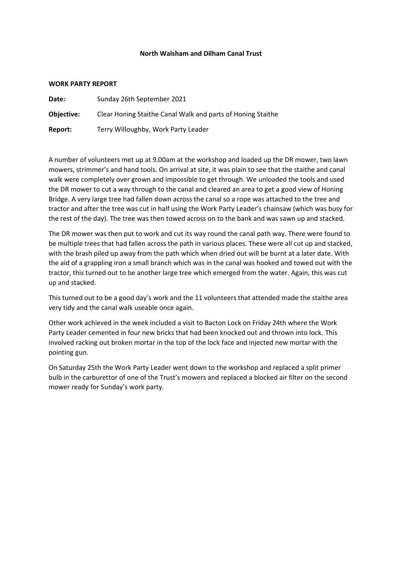## **North Walsham and Dilham Canal Trust**

## **WORK PARTY REPORT**

| Date:      | Sunday 26th September 2021                                  |
|------------|-------------------------------------------------------------|
| Objective: | Clear Honing Staithe Canal Walk and parts of Honing Staithe |
| Report:    | Terry Willoughby, Work Party Leader                         |

A number of volunteers met up at 9.00am at the workshop and loaded up the DR mower, two lawn mowers, strimmer's and hand tools. On arrival at site, it was plain to see that the staithe and canal walk were completely over grown and impossible to get through. We unloaded the tools and used the DR mower to cut a way through to the canal and cleared an area to get a good view of Honing Bridge. A very large tree had fallen down across the canal so a rope was attached to the tree and tractor and after the tree was cut in half using the Work Party Leader's chainsaw (which was busy for the rest of the day). The tree was then towed across on to the bank and was sawn up and stacked.

The DR mower was then put to work and cut its way round the canal path way. There were found to be multiple trees that had fallen across the path in various places. These were all cut up and stacked, with the brash piled up away from the path which when dried out will be burnt at a later date. With the aid of a grappling iron a small branch which was in the canal was hooked and towed out with the tractor, this turned out to be another large tree which emerged from the water. Again, this was cut up and stacked.

This turned out to be a good day's work and the 11 volunteers that attended made the staithe area very tidy and the canal walk useable once again.

Other work achieved in the week included a visit to Bacton Lock on Friday 24th where the Work Party Leader cemented in four new bricks that had been knocked out and thrown into lock. This involved racking out broken mortar in the top of the lock face and injected new mortar with the pointing gun.

On Saturday 25th the Work Party Leader went down to the workshop and replaced a split primer bulb in the carburettor of one of the Trust's mowers and replaced a blocked air filter on the second mower ready for Sunday's work party.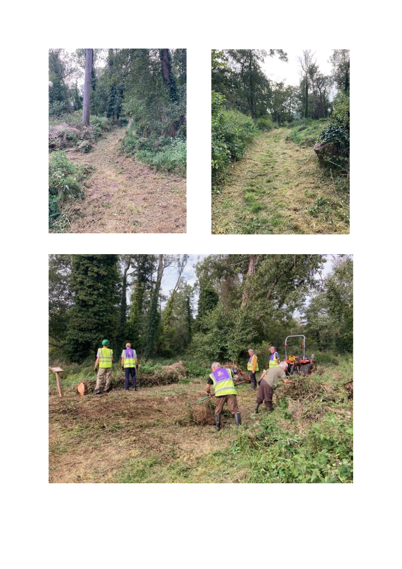